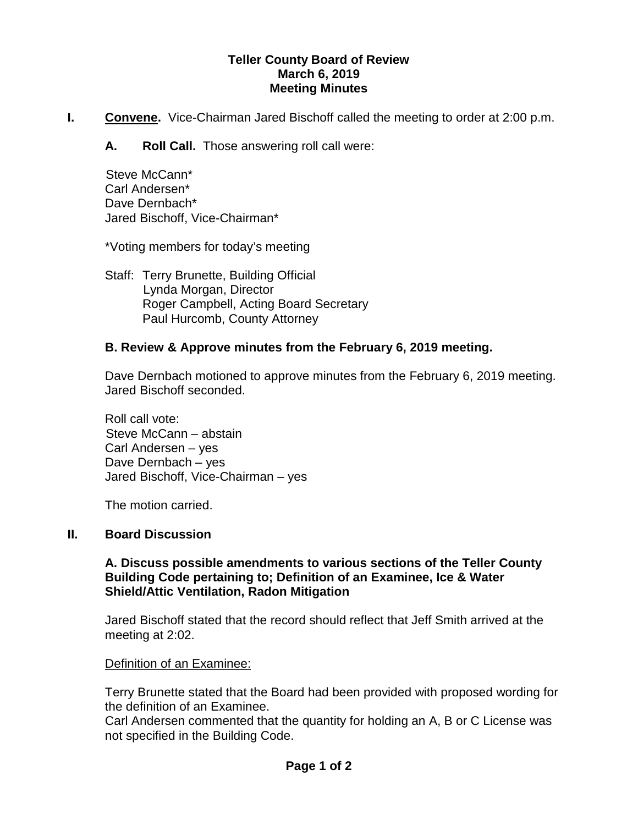### **Teller County Board of Review March 6, 2019 Meeting Minutes**

**I. Convene.** Vice-Chairman Jared Bischoff called the meeting to order at 2:00 p.m.

**A. Roll Call.** Those answering roll call were:

 Steve McCann\* Carl Andersen\* Dave Dernbach\* Jared Bischoff, Vice-Chairman\*

\*Voting members for today's meeting

Staff: Terry Brunette, Building Official Lynda Morgan, Director Roger Campbell, Acting Board Secretary Paul Hurcomb, County Attorney

# **B. Review & Approve minutes from the February 6, 2019 meeting.**

Dave Dernbach motioned to approve minutes from the February 6, 2019 meeting. Jared Bischoff seconded.

Roll call vote: Steve McCann – abstain Carl Andersen – yes Dave Dernbach – yes Jared Bischoff, Vice-Chairman – yes

The motion carried.

# **II. Board Discussion**

### **A. Discuss possible amendments to various sections of the Teller County Building Code pertaining to; Definition of an Examinee, Ice & Water Shield/Attic Ventilation, Radon Mitigation**

Jared Bischoff stated that the record should reflect that Jeff Smith arrived at the meeting at 2:02.

# Definition of an Examinee:

Terry Brunette stated that the Board had been provided with proposed wording for the definition of an Examinee.

Carl Andersen commented that the quantity for holding an A, B or C License was not specified in the Building Code.